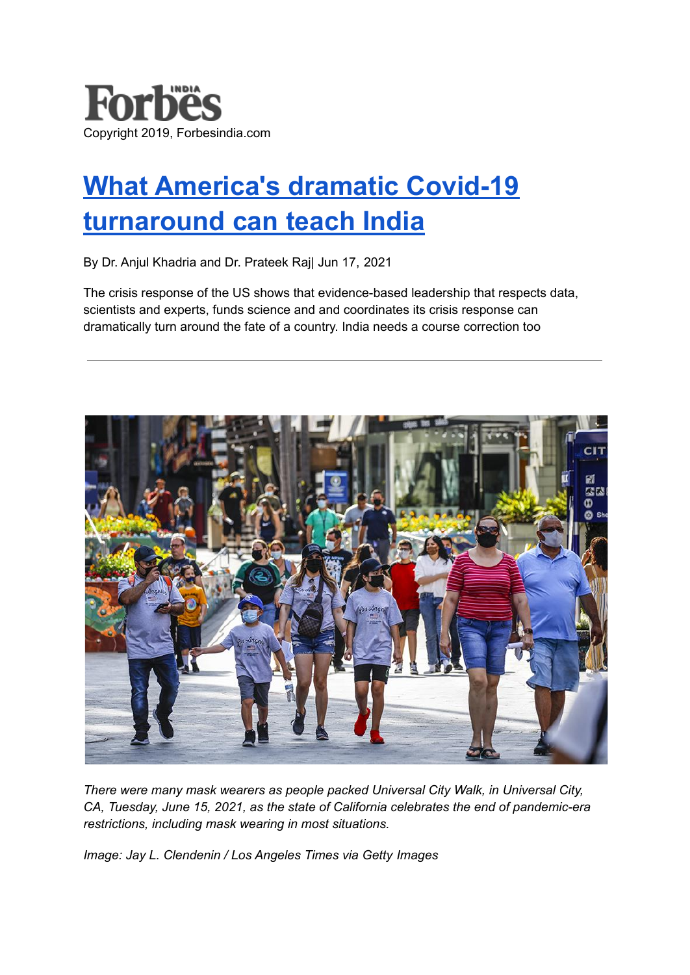

# **What [America's](https://www.forbesindia.com/article/iim-bangalore/what-americas-dramatic-covid19-turnaround-can-teach-india/68565/1) dramatic Covid-19 [turnaround](https://www.forbesindia.com/article/iim-bangalore/what-americas-dramatic-covid19-turnaround-can-teach-india/68565/1) can teach India**

By Dr. Anjul Khadria and Dr. Prateek Raj| Jun 17, 2021

The crisis response of the US shows that evidence-based leadership that respects data, scientists and experts, funds science and and coordinates its crisis response can dramatically turn around the fate of a country. India needs a course correction too



*There were many mask wearers as people packed Universal City Walk, in Universal City, CA, Tuesday, June 15, 2021, as the state of California celebrates the end of pandemic-era restrictions, including mask wearing in most situations.*

*Image: Jay L. Clendenin / Los Angeles Times via Getty Images*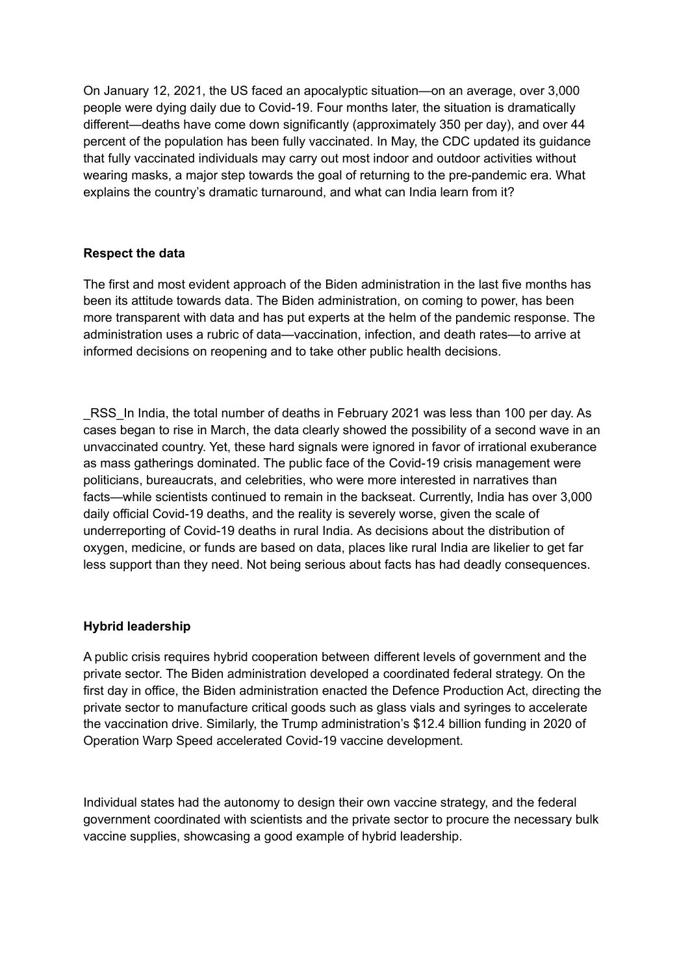On January 12, 2021, the US faced an apocalyptic situation—on an average, over 3,000 people were dying daily due to Covid-19. Four months later, the situation is dramatically different—deaths have come down significantly (approximately 350 per day), and over 44 percent of the population has been fully vaccinated. In May, the CDC updated its guidance that fully vaccinated individuals may carry out most indoor and outdoor activities without wearing masks, a major step towards the goal of returning to the pre-pandemic era. What explains the country's dramatic turnaround, and what can India learn from it?

# **Respect the data**

The first and most evident approach of the Biden administration in the last five months has been its attitude towards data. The Biden administration, on coming to power, has been more transparent with data and has put experts at the helm of the pandemic response. The administration uses a rubric of data—vaccination, infection, and death rates—to arrive at informed decisions on reopening and to take other public health decisions.

\_RSS\_In India, the total number of deaths in February 2021 was less than 100 per day. As cases began to rise in March, the data clearly showed the possibility of a second wave in an unvaccinated country. Yet, these hard signals were ignored in favor of irrational exuberance as mass gatherings dominated. The public face of the Covid-19 crisis management were politicians, bureaucrats, and celebrities, who were more interested in narratives than facts—while scientists continued to remain in the backseat. Currently, India has over 3,000 daily official Covid-19 deaths, and the reality is severely worse, given the scale of underreporting of Covid-19 deaths in rural India. As decisions about the distribution of oxygen, medicine, or funds are based on data, places like rural India are likelier to get far less support than they need. Not being serious about facts has had deadly consequences.

### **Hybrid leadership**

A public crisis requires hybrid cooperation between different levels of government and the private sector. The Biden administration developed a coordinated federal strategy. On the first day in office, the Biden administration enacted the Defence Production Act, directing the private sector to manufacture critical goods such as glass vials and syringes to accelerate the vaccination drive. Similarly, the Trump administration's \$12.4 billion funding in 2020 of Operation Warp Speed accelerated Covid-19 vaccine development.

Individual states had the autonomy to design their own vaccine strategy, and the federal government coordinated with scientists and the private sector to procure the necessary bulk vaccine supplies, showcasing a good example of hybrid leadership.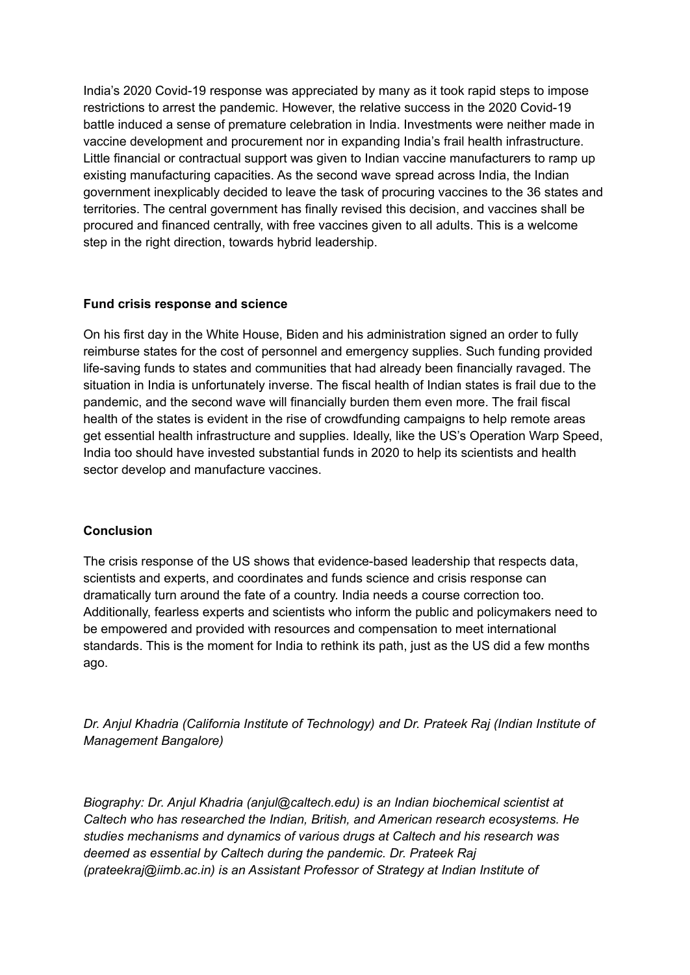India's 2020 Covid-19 response was appreciated by many as it took rapid steps to impose restrictions to arrest the pandemic. However, the relative success in the 2020 Covid-19 battle induced a sense of premature celebration in India. Investments were neither made in vaccine development and procurement nor in expanding India's frail health infrastructure. Little financial or contractual support was given to Indian vaccine manufacturers to ramp up existing manufacturing capacities. As the second wave spread across India, the Indian government inexplicably decided to leave the task of procuring vaccines to the 36 states and territories. The central government has finally revised this decision, and vaccines shall be procured and financed centrally, with free vaccines given to all adults. This is a welcome step in the right direction, towards hybrid leadership.

# **Fund crisis response and science**

On his first day in the White House, Biden and his administration signed an order to fully reimburse states for the cost of personnel and emergency supplies. Such funding provided life-saving funds to states and communities that had already been financially ravaged. The situation in India is unfortunately inverse. The fiscal health of Indian states is frail due to the pandemic, and the second wave will financially burden them even more. The frail fiscal health of the states is evident in the rise of crowdfunding campaigns to help remote areas get essential health infrastructure and supplies. Ideally, like the US's Operation Warp Speed, India too should have invested substantial funds in 2020 to help its scientists and health sector develop and manufacture vaccines.

### **Conclusion**

The crisis response of the US shows that evidence-based leadership that respects data, scientists and experts, and coordinates and funds science and crisis response can dramatically turn around the fate of a country. India needs a course correction too. Additionally, fearless experts and scientists who inform the public and policymakers need to be empowered and provided with resources and compensation to meet international standards. This is the moment for India to rethink its path, just as the US did a few months ago.

*Dr. Anjul Khadria (California Institute of Technology) and Dr. Prateek Raj (Indian Institute of Management Bangalore)*

*Biography: Dr. Anjul Khadria (anjul@caltech.edu) is an Indian biochemical scientist at Caltech who has researched the Indian, British, and American research ecosystems. He studies mechanisms and dynamics of various drugs at Caltech and his research was deemed as essential by Caltech during the pandemic. Dr. Prateek Raj (prateekraj@iimb.ac.in) is an Assistant Professor of Strategy at Indian Institute of*